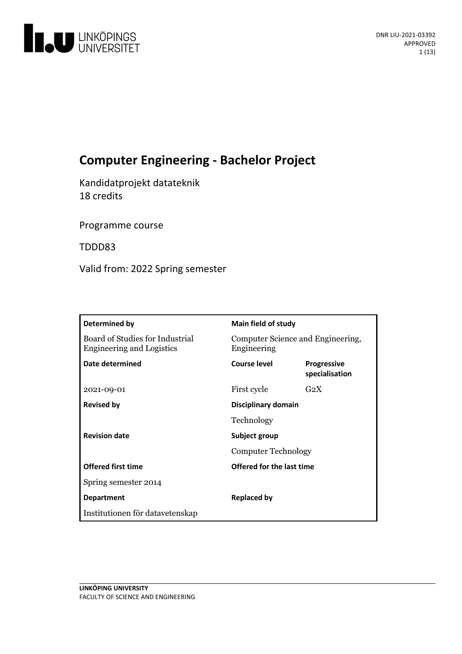

# **Computer Engineering - Bachelor Project**

Kandidatprojekt datateknik 18 credits

Programme course

TDDD83

Valid from: 2022 Spring semester

| Determined by                                                       | <b>Main field of study</b>                       |                                      |
|---------------------------------------------------------------------|--------------------------------------------------|--------------------------------------|
| Board of Studies for Industrial<br><b>Engineering and Logistics</b> | Computer Science and Engineering,<br>Engineering |                                      |
| Date determined                                                     | Course level                                     | <b>Progressive</b><br>specialisation |
| 2021-09-01                                                          | First cycle                                      | $G_2X$                               |
| <b>Revised by</b>                                                   | Disciplinary domain                              |                                      |
|                                                                     | Technology                                       |                                      |
| <b>Revision date</b>                                                | Subject group<br><b>Computer Technology</b>      |                                      |
|                                                                     |                                                  |                                      |
| <b>Offered first time</b>                                           | Offered for the last time                        |                                      |
| Spring semester 2014                                                |                                                  |                                      |
| <b>Department</b>                                                   | <b>Replaced by</b>                               |                                      |
| Institutionen för datavetenskap                                     |                                                  |                                      |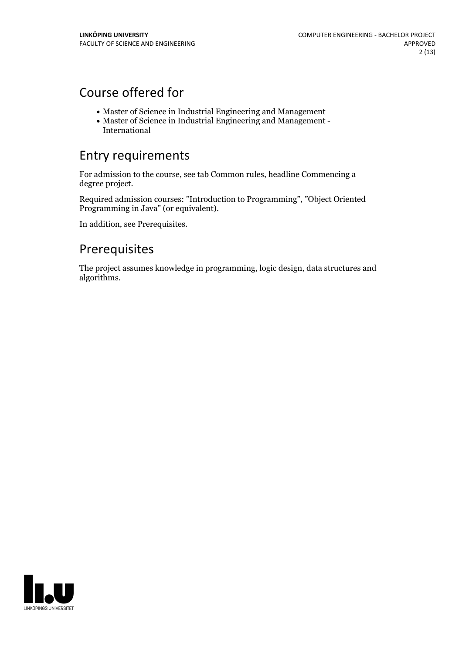# Course offered for

- Master of Science in Industrial Engineering and Management
- Master of Science in Industrial Engineering and Management International

# Entry requirements

For admission to the course, see tab Common rules, headline Commencing a degree project.

Required admission courses: "Introduction to Programming", "Object Oriented Programming in Java" (or equivalent).

In addition, see Prerequisites.

# Prerequisites

The project assumes knowledge in programming, logic design, data structures and algorithms.

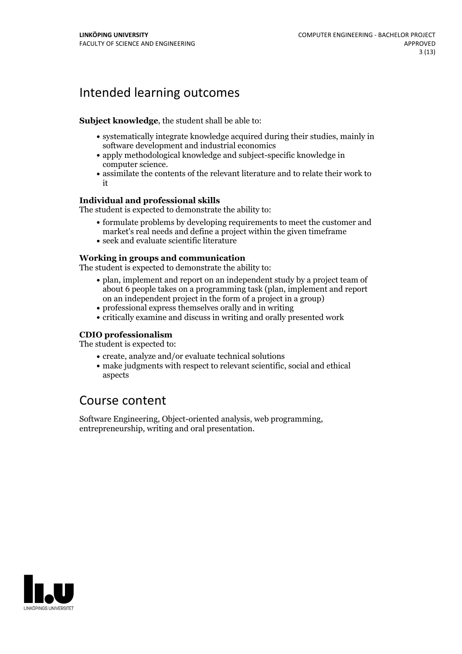# Intended learning outcomes

### **Subject knowledge**, the student shall be able to:

- systematically integrate knowledge acquired during their studies, mainly in software development and industrial economics
- apply methodological knowledge and subject-specific knowledge in
- computer science.<br>• assimilate the contents of the relevant literature and to relate their work to it

### **Individual and professional skills**

The student is expected to demonstrate the ability to:

- formulate problems by developing requirements to meet the customer and market's real needs and define a project within the given timeframe
- seek and evaluate scientific literature

### **Working in groups and communication**

The student is expected to demonstrate the ability to:

- plan, implement and report on an independent study by a project team of about 6 people takes on a programming task (plan, implement and report on an independent project in the form of a project in a group)
- professional express themselves orally and in writing
- critically examine and discuss in writing and orally presented work

## **CDIO professionalism**

The student is expected to:

- create, analyze and/or evaluate technical solutions
- make judgments with respect to relevant scientific, social and ethical aspects

# Course content

Software Engineering, Object-oriented analysis, web programming, entrepreneurship, writing and oral presentation.

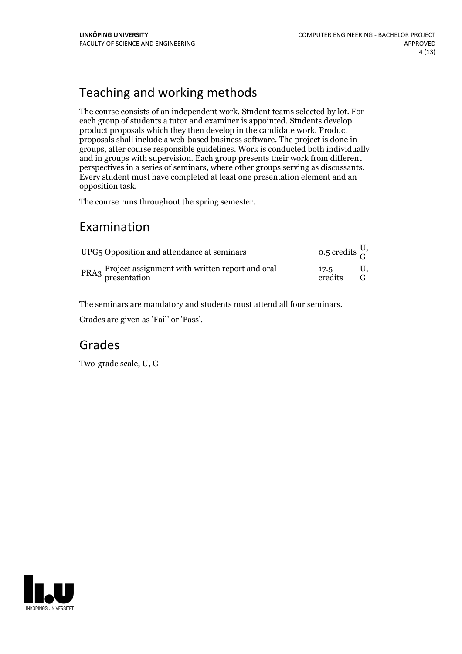# Teaching and working methods

The course consists of an independent work. Student teams selected by lot.For each group of students a tutor and examiner is appointed. Students develop product proposals which they then develop in the candidate work. Product proposals shall include a web-based business software. The project is done in groups, after course responsible guidelines. Work is conducted both individually and in groups with supervision. Each group presents their work from different perspectives in a series of seminars, where other groups serving as discussants. Every student must have completed at least one presentation element and an

opposition task.<br>The course runs throughout the spring semester.

# Examination

| UPG <sub>5</sub> Opposition and attendance at seminars               | 0.5 credits $\frac{0}{G}$ |  |
|----------------------------------------------------------------------|---------------------------|--|
| PRA3 Project assignment with written report and oral<br>presentation | 17.5<br>credits           |  |

The seminars are mandatory and students must attend all four seminars.

Grades are given as'Fail' or 'Pass'.

# Grades

Two-grade scale, U, G

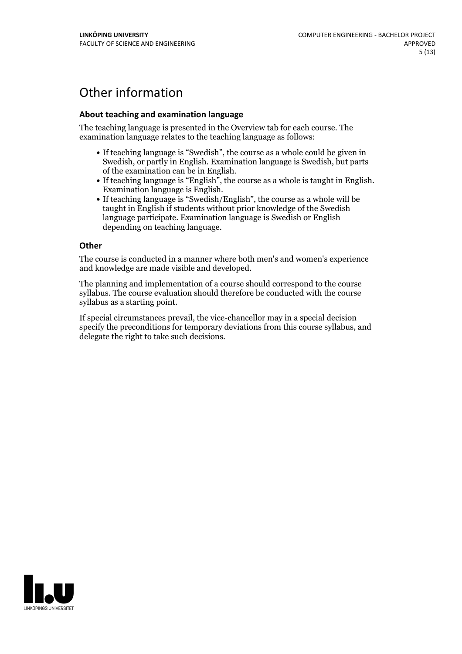# Other information

### **About teaching and examination language**

The teaching language is presented in the Overview tab for each course. The examination language relates to the teaching language as follows:

- If teaching language is "Swedish", the course as a whole could be given in Swedish, or partly in English. Examination language is Swedish, but parts
- of the examination can be in English. If teaching language is "English", the course as <sup>a</sup> whole is taught in English. Examination language is English. If teaching language is "Swedish/English", the course as <sup>a</sup> whole will be
- taught in English if students without prior knowledge of the Swedish language participate. Examination language is Swedish or English depending on teaching language.

#### **Other**

The course is conducted in a manner where both men's and women's experience and knowledge are made visible and developed.

The planning and implementation of a course should correspond to the course syllabus. The course evaluation should therefore be conducted with the course syllabus as a starting point.

If special circumstances prevail, the vice-chancellor may in a special decision specify the preconditions for temporary deviations from this course syllabus, and delegate the right to take such decisions.

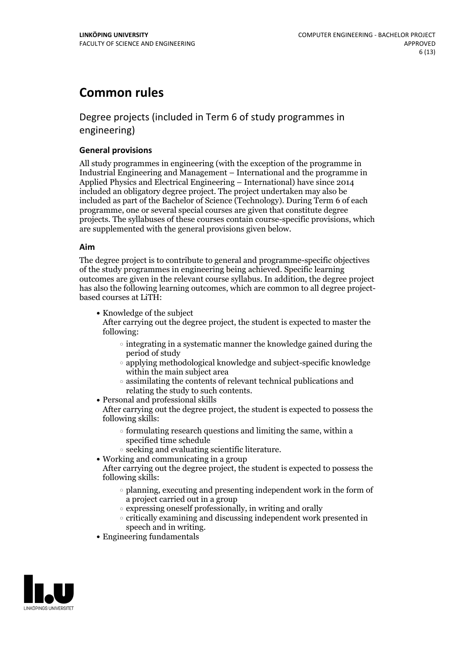# **Common rules**

# Degree projects (included in Term 6 of study programmes in engineering)

### **General provisions**

All study programmes in engineering (with the exception of the programme in Industrial Engineering and Management – International and the programme in Applied Physics and Electrical Engineering – International) have since 2014 included an obligatory degree project. The project undertaken may also be included as part of the Bachelor of Science (Technology). During Term 6 of each programme, one or several special courses are given that constitute degree projects. The syllabuses of these courses contain course-specific provisions, which are supplemented with the general provisions given below.

#### **Aim**

The degree project is to contribute to general and programme-specific objectives of the study programmes in engineering being achieved. Specific learning outcomes are given in the relevant course syllabus. In addition, the degree project has also the following learning outcomes, which are common to all degree project- based courses at LiTH:

• Knowledge of the subject

After carrying out the degree project, the student is expected to master the following:

- $\circ$  integrating in a systematic manner the knowledge gained during the period of study
- applying methodological knowledge and subject-specific knowledge within the main subject area
- $\circ$  assimilating the contents of relevant technical publications and relating the study to such contents.<br>• Personal and professional skills
- 

After carrying out the degree project, the student is expected to possess the following skills:

- $\circ$  formulating research questions and limiting the same, within a specified time schedule
- $\circ$  seeking and evaluating scientific literature.<br>  $\bullet$  Working and communicating in a group
- 
- After carrying out the degree project, the student is expected to possess the following skills:
	- $\circ$  planning, executing and presenting independent work in the form of a project carried out in a group
	- $\circ$  expressing oneself professionally, in writing and orally
	- critically examining and discussing independent work presented in
- speech and in writing.<br>• Engineering fundamentals

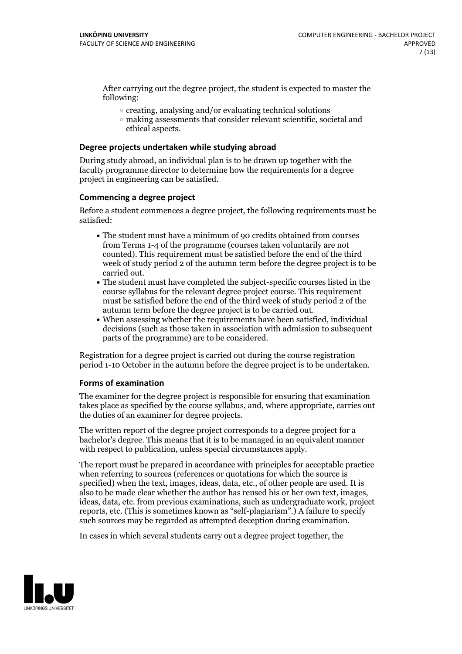After carrying out the degree project, the student is expected to master the following:

- $\circ$  creating, analysing and/or evaluating technical solutions
- making assessments that consider relevant scientific, societal and ethical aspects.

#### **Degree projects undertaken while studying abroad**

During study abroad, an individual plan is to be drawn up together with the faculty programme director to determine how the requirements for a degree project in engineering can be satisfied.

#### **Commencing a degree project**

Before a student commences a degree project, the following requirements must be satisfied:

- The student must have a minimum of 90 credits obtained from courses from Terms 1-4 of the programme (courses taken voluntarily are not counted). This requirement must be satisfied before the end of the third week of study period 2 of the autumn term before the degree project is to be carried out.<br>• The student must have completed the subject-specific courses listed in the
- course syllabus for the relevant degree project course. This requirement must be satisfied before the end of the third week of study period 2 of the
- $\bullet$  When assessing whether the requirements have been satisfied, individual decisions (such as those taken in association with admission to subsequent parts of the programme) are to be considered.

Registration for a degree project is carried out during the course registration period 1-10 October in the autumn before the degree project is to be undertaken.

#### **Forms of examination**

The examiner for the degree project is responsible for ensuring that examination takes place as specified by the course syllabus, and, where appropriate, carries out the duties of an examiner for degree projects.

The written report of the degree project corresponds to a degree project for a bachelor's degree. This means that it is to be managed in an equivalent manner with respect to publication, unless special circumstances apply.

The report must be prepared in accordance with principles for acceptable practice when referring to sources (references or quotations for which the source is specified) when the text, images, ideas, data, etc., of other people are used. It is also to be made clear whether the author has reused his or her own text, images, ideas, data, etc. from previous examinations, such as undergraduate work, project reports, etc. (This is sometimes known as"self-plagiarism".) A failure to specify such sources may be regarded as attempted deception during examination.

In cases in which several students carry out a degree project together, the

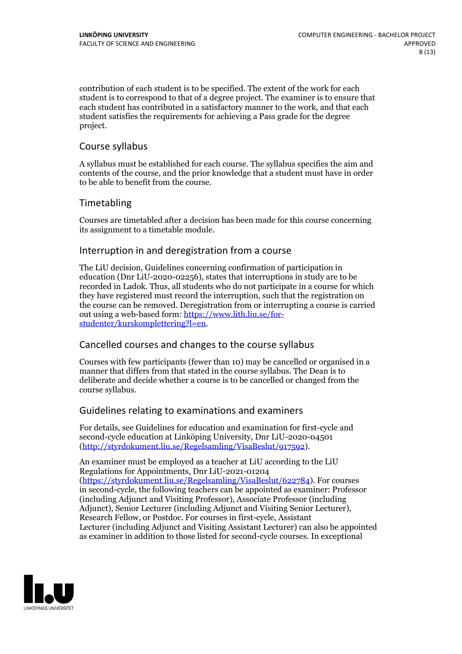contribution of each student is to be specified. The extent of the work for each student is to correspond to that of a degree project. The examiner is to ensure that each student has contributed in a satisfactory manner to the work, and that each student satisfies the requirements for achieving a Pass grade for the degree project.

# Course syllabus

A syllabus must be established for each course. The syllabus specifies the aim and contents of the course, and the prior knowledge that a student must have in order to be able to benefit from the course.

# Timetabling

Courses are timetabled after a decision has been made for this course concerning its assignment to a timetable module.

# Interruption in and deregistration from a course

The LiU decision, Guidelines concerning confirmation of participation in education (Dnr LiU-2020-02256), states that interruptions in study are to be recorded in Ladok. Thus, all students who do not participate in a course for which they have registered must record the interruption, such that the registration on the course can be removed. Deregistration from or interrupting a course is carried out using <sup>a</sup> web-based form: https://www.lith.liu.se/for- [studenter/kurskomplettering?l=en.](https://www.lith.liu.se/for-studenter/kurskomplettering?l=en)

# Cancelled coursesand changes to the course syllabus

Courses with few participants (fewer than 10) may be cancelled or organised in a manner that differs from that stated in the course syllabus. The Dean is to deliberate and decide whether a course is to be cancelled or changed from the course syllabus.

# Guidelines relating to examinations and examiners

For details, see Guidelines for education and examination for first-cycle and second-cycle education at Linköping University, Dnr LiU-2020-04501 [\(http://styrdokument.liu.se/Regelsamling/VisaBeslut/917592\)](http://styrdokument.liu.se/Regelsamling/VisaBeslut/917592).

An examiner must be employed as a teacher at LiU according to the LiU Regulations for Appointments, Dnr LiU-2021-01204 [\(https://styrdokument.liu.se/Regelsamling/VisaBeslut/622784](https://styrdokument.liu.se/Regelsamling/VisaBeslut/622784)). For courses in second-cycle, the following teachers can be appointed as examiner: Professor (including Adjunct and Visiting Professor), Associate Professor (including Adjunct), Senior Lecturer (including Adjunct and Visiting Senior Lecturer), Research Fellow, or Postdoc. For courses in first-cycle, Assistant Lecturer (including Adjunct and Visiting Assistant Lecturer) can also be appointed as examiner in addition to those listed for second-cycle courses. In exceptional

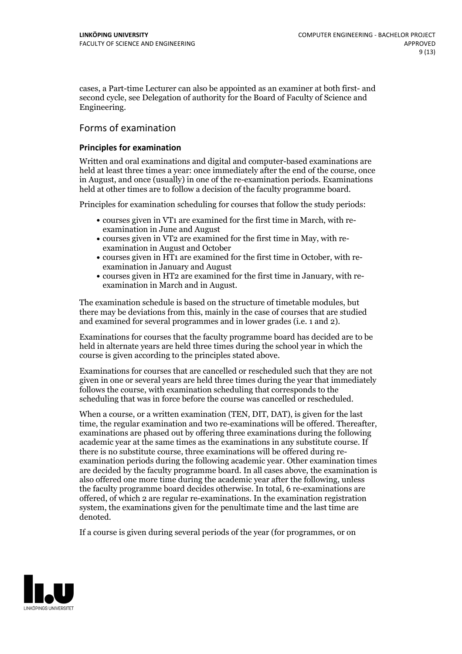cases, a Part-time Lecturer can also be appointed as an examiner at both first- and second cycle, see Delegation of authority for the Board of Faculty of Science and Engineering.

# Forms of examination

### **Principles for examination**

Written and oral examinations and digital and computer-based examinations are held at least three times a year: once immediately after the end of the course, once in August, and once (usually) in one of the re-examination periods. Examinations held at other times are to follow a decision of the faculty programme board.

Principles for examination scheduling for courses that follow the study periods:

- courses given in VT1 are examined for the first time in March, with re-examination in June and August
- courses given in VT2 are examined for the first time in May, with re-examination in August and October
- courses given in HT1 are examined for the first time in October, with re-examination in January and August
- courses given in HT2 are examined for the first time in January, with re-examination in March and in August.

The examination schedule is based on the structure of timetable modules, but there may be deviations from this, mainly in the case of courses that are studied and examined for several programmes and in lower grades (i.e. 1 and 2).

Examinations for courses that the faculty programme board has decided are to be held in alternate years are held three times during the school year in which the course is given according to the principles stated above.

Examinations for courses that are cancelled or rescheduled such that they are not given in one or several years are held three times during the year that immediately follows the course, with examination scheduling that corresponds to the scheduling that was in force before the course was cancelled or rescheduled.

When a course, or a written examination (TEN, DIT, DAT), is given for the last time, the regular examination and two re-examinations will be offered. Thereafter, examinations are phased out by offering three examinations during the following academic year at the same times as the examinations in any substitute course. If there is no substitute course, three examinations will be offered during re- examination periods during the following academic year. Other examination times are decided by the faculty programme board. In all cases above, the examination is also offered one more time during the academic year after the following, unless the faculty programme board decides otherwise. In total, 6 re-examinations are offered, of which 2 are regular re-examinations. In the examination registration system, the examinations given for the penultimate time and the last time are denoted.

If a course is given during several periods of the year (for programmes, or on

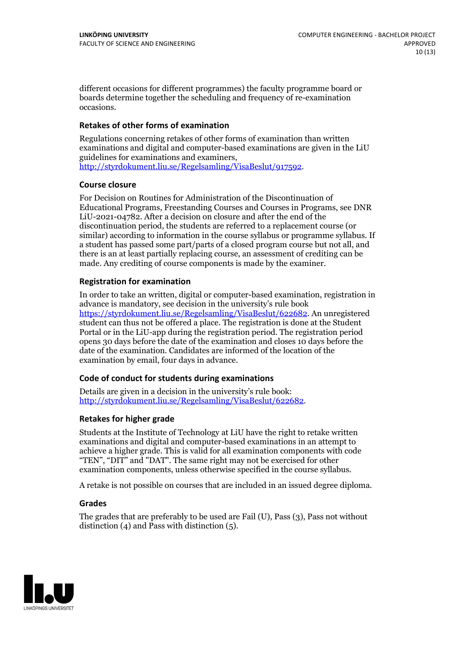different occasions for different programmes) the faculty programme board or boards determine together the scheduling and frequency of re-examination occasions.

### **Retakes of other forms of examination**

Regulations concerning retakes of other forms of examination than written examinations and digital and computer-based examinations are given in the LiU [http://styrdokument.liu.se/Regelsamling/VisaBeslut/917592.](http://styrdokument.liu.se/Regelsamling/VisaBeslut/917592)

### **Course closure**

For Decision on Routines for Administration of the Discontinuation of Educational Programs, Freestanding Courses and Courses in Programs, see DNR LiU-2021-04782. After a decision on closure and after the end of the discontinuation period, the students are referred to a replacement course (or similar) according to information in the course syllabus or programme syllabus. If a student has passed some part/parts of a closed program course but not all, and there is an at least partially replacing course, an assessment of crediting can be made. Any crediting of course components is made by the examiner.

### **Registration for examination**

In order to take an written, digital or computer-based examination, registration in advance is mandatory, see decision in the university's rule book [https://styrdokument.liu.se/Regelsamling/VisaBeslut/622682.](https://styrdokument.liu.se/Regelsamling/VisaBeslut/622682) An unregistered student can thus not be offered a place. The registration is done at the Student Portal or in the LiU-app during the registration period. The registration period opens 30 days before the date of the examination and closes 10 days before the date of the examination. Candidates are informed of the location of the examination by email, four days in advance.

#### **Code of conduct for students during examinations**

Details are given in a decision in the university's rule book: <http://styrdokument.liu.se/Regelsamling/VisaBeslut/622682>.

## **Retakes for higher grade**

Students at the Institute of Technology at LiU have the right to retake written examinations and digital and computer-based examinations in an attempt to achieve a higher grade. This is valid for all examination components with code "TEN", "DIT" and "DAT". The same right may not be exercised for other examination components, unless otherwise specified in the course syllabus.

A retake is not possible on courses that are included in an issued degree diploma.

## **Grades**

The grades that are preferably to be used are Fail (U), Pass (3), Pass not without distinction  $(4)$  and Pass with distinction  $(5)$ .

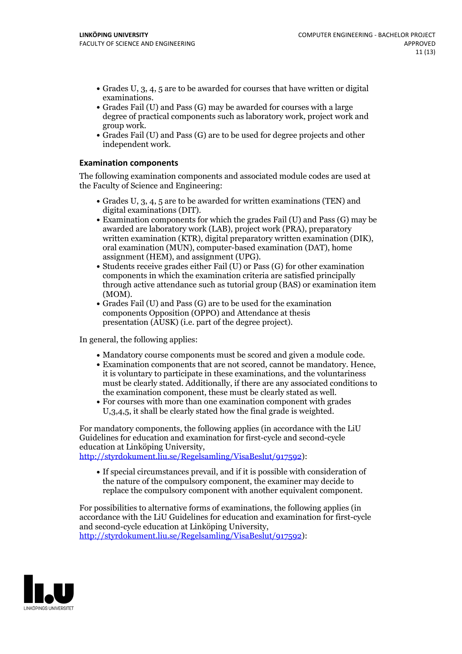- Grades U, 3, 4, 5 are to be awarded for courses that have written or digital examinations.<br>• Grades Fail (U) and Pass (G) may be awarded for courses with a large
- degree of practical components such as laboratory work, project work and
- group work. Grades Fail (U) and Pass (G) are to be used for degree projects and other independent work.

### **Examination components**

The following examination components and associated module codes are used at the Faculty of Science and Engineering:

- Grades U,  $3$ ,  $4$ ,  $5$  are to be awarded for written examinations (TEN) and digital examinations (DIT).
- $\bullet$  Examination components for which the grades Fail (U) and Pass (G) may be awarded are laboratory work (LAB), project work (PRA), preparatory written examination (KTR), digital preparatory written examination (DIK), oral examination (MUN), computer-based examination (DAT), home
- assignment (HEM), and assignment (UPG).<br>• Students receive grades either Fail (U) or Pass (G) for other examination components in which the examination criteria are satisfied principally through active attendance such as tutorial group (BAS) or examination item (MOM).<br>• Grades Fail (U) and Pass (G) are to be used for the examination
- components Opposition (OPPO) and Attendance at thesis presentation (AUSK) (i.e. part of the degree project).

In general, the following applies:

- 
- Mandatory course components must be scored and given <sup>a</sup> module code. Examination components that are not scored, cannot be mandatory. Hence, it is voluntary to participate in these examinations, and the voluntariness must be clearly stated. Additionally, if there are any associated conditions to
- the examination component, these must be clearly stated as well.<br>• For courses with more than one examination component with grades U,3,4,5, it shall be clearly stated how the final grade is weighted.

For mandatory components, the following applies (in accordance with the LiU Guidelines for education and examination for first-cycle and second-cycle education at Linköping University,

[http://styrdokument.liu.se/Regelsamling/VisaBeslut/917592\)](http://styrdokument.liu.se/Regelsamling/VisaBeslut/917592):

If special circumstances prevail, and if it is possible with consideration of the nature of the compulsory component, the examiner may decide to replace the compulsory component with another equivalent component.

For possibilities to alternative forms of examinations, the following applies (in accordance with the LiU Guidelines for education and examination for first-cycle [http://styrdokument.liu.se/Regelsamling/VisaBeslut/917592\)](http://styrdokument.liu.se/Regelsamling/VisaBeslut/917592):

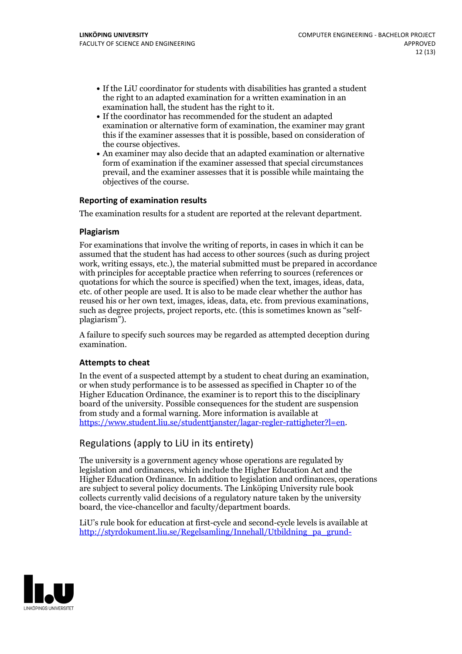- If the LiU coordinator for students with disabilities has granted a student the right to an adapted examination for a written examination in an
- $\bullet$  If the coordinator has recommended for the student an adapted examination or alternative form of examination, the examiner may grant this if the examiner assesses that it is possible, based on consideration of
- the course objectives. An examiner may also decide that an adapted examination or alternative form of examination if the examiner assessed that special circumstances prevail, and the examiner assesses that it is possible while maintaing the objectives of the course.

## **Reporting of examination results**

The examination results for a student are reported at the relevant department.

### **Plagiarism**

For examinations that involve the writing of reports, in cases in which it can be assumed that the student has had access to other sources (such as during project work, writing essays, etc.), the material submitted must be prepared in accordance with principles for acceptable practice when referring to sources (references or quotations for which the source is specified) when the text, images, ideas, data, etc. of other people are used. It is also to be made clear whether the author has reused his or her own text, images, ideas, data, etc. from previous examinations, such as degree projects, project reports, etc. (this is sometimes known as "self- plagiarism").

A failure to specify such sources may be regarded as attempted deception during examination.

## **Attempts to cheat**

In the event of <sup>a</sup> suspected attempt by <sup>a</sup> student to cheat during an examination, or when study performance is to be assessed as specified in Chapter <sup>10</sup> of the Higher Education Ordinance, the examiner is to report this to the disciplinary board of the university. Possible consequences for the student are suspension from study and a formal warning. More information is available at <https://www.student.liu.se/studenttjanster/lagar-regler-rattigheter?l=en>.

# Regulations (apply to LiU in its entirety)

The university is a government agency whose operations are regulated by legislation and ordinances, which include the Higher Education Act and the Higher Education Ordinance. In addition to legislation and ordinances, operations are subject to several policy documents. The Linköping University rule book collects currently valid decisions of a regulatory nature taken by the university board, the vice-chancellor and faculty/department boards.

LiU's rule book for education at first-cycle and second-cycle levels is available at [http://styrdokument.liu.se/Regelsamling/Innehall/Utbildning\\_pa\\_grund-](http://styrdokument.liu.se/Regelsamling/Innehall/Utbildning_pa_grund-_och_avancerad_niva)